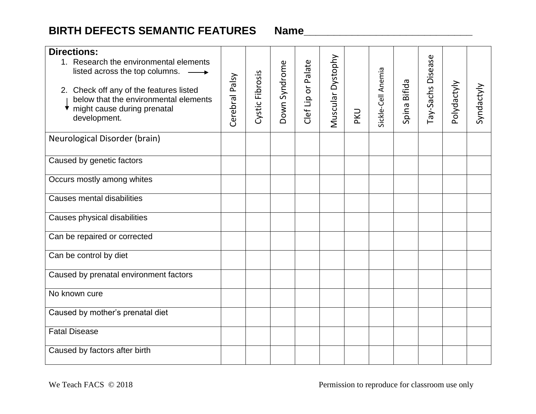## **BIRTH DEFECTS SEMANTIC FEATURES Name\_\_\_\_\_\_\_\_\_\_\_\_\_\_\_\_\_\_\_\_\_\_\_\_\_\_\_\_**

| <b>Directions:</b><br>1. Research the environmental elements<br>listed across the top columns.<br>2. Check off any of the features listed<br>below that the environmental elements<br>might cause during prenatal<br>development. | Cerebral Palsy | Cystic Fibrosis | Down Syndrome | Clef Lip or Palate | Muscular Dystophy | <b>PKU</b> | Sickle-Cell Anemia | Spina Bifida | Tay-Sachs Disease | Polydactyly | Syndactyly |
|-----------------------------------------------------------------------------------------------------------------------------------------------------------------------------------------------------------------------------------|----------------|-----------------|---------------|--------------------|-------------------|------------|--------------------|--------------|-------------------|-------------|------------|
| Neurological Disorder (brain)                                                                                                                                                                                                     |                |                 |               |                    |                   |            |                    |              |                   |             |            |
| Caused by genetic factors                                                                                                                                                                                                         |                |                 |               |                    |                   |            |                    |              |                   |             |            |
| Occurs mostly among whites                                                                                                                                                                                                        |                |                 |               |                    |                   |            |                    |              |                   |             |            |
| <b>Causes mental disabilities</b>                                                                                                                                                                                                 |                |                 |               |                    |                   |            |                    |              |                   |             |            |
| Causes physical disabilities                                                                                                                                                                                                      |                |                 |               |                    |                   |            |                    |              |                   |             |            |
| Can be repaired or corrected                                                                                                                                                                                                      |                |                 |               |                    |                   |            |                    |              |                   |             |            |
| Can be control by diet                                                                                                                                                                                                            |                |                 |               |                    |                   |            |                    |              |                   |             |            |
| Caused by prenatal environment factors                                                                                                                                                                                            |                |                 |               |                    |                   |            |                    |              |                   |             |            |
| No known cure                                                                                                                                                                                                                     |                |                 |               |                    |                   |            |                    |              |                   |             |            |
| Caused by mother's prenatal diet                                                                                                                                                                                                  |                |                 |               |                    |                   |            |                    |              |                   |             |            |
| <b>Fatal Disease</b>                                                                                                                                                                                                              |                |                 |               |                    |                   |            |                    |              |                   |             |            |
| Caused by factors after birth                                                                                                                                                                                                     |                |                 |               |                    |                   |            |                    |              |                   |             |            |